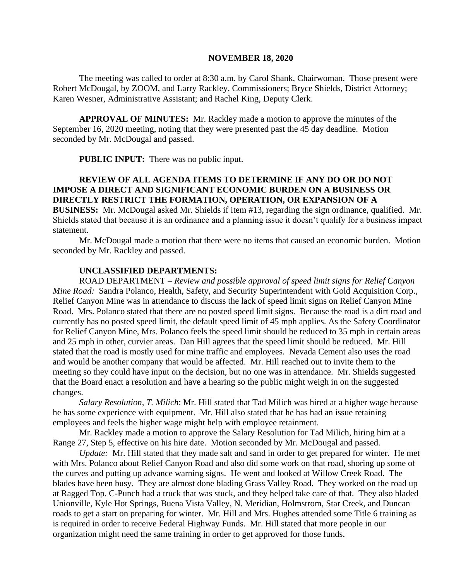#### **NOVEMBER 18, 2020**

The meeting was called to order at 8:30 a.m. by Carol Shank, Chairwoman. Those present were Robert McDougal, by ZOOM, and Larry Rackley, Commissioners; Bryce Shields, District Attorney; Karen Wesner, Administrative Assistant; and Rachel King, Deputy Clerk.

**APPROVAL OF MINUTES:** Mr. Rackley made a motion to approve the minutes of the September 16, 2020 meeting, noting that they were presented past the 45 day deadline. Motion seconded by Mr. McDougal and passed.

**PUBLIC INPUT:** There was no public input.

### **REVIEW OF ALL AGENDA ITEMS TO DETERMINE IF ANY DO OR DO NOT IMPOSE A DIRECT AND SIGNIFICANT ECONOMIC BURDEN ON A BUSINESS OR DIRECTLY RESTRICT THE FORMATION, OPERATION, OR EXPANSION OF A BUSINESS:** Mr. McDougal asked Mr. Shields if item #13, regarding the sign ordinance, qualified. Mr.

Shields stated that because it is an ordinance and a planning issue it doesn't qualify for a business impact statement.

Mr. McDougal made a motion that there were no items that caused an economic burden. Motion seconded by Mr. Rackley and passed.

#### **UNCLASSIFIED DEPARTMENTS:**

ROAD DEPARTMENT – *Review and possible approval of speed limit signs for Relief Canyon Mine Road:* Sandra Polanco, Health, Safety, and Security Superintendent with Gold Acquisition Corp., Relief Canyon Mine was in attendance to discuss the lack of speed limit signs on Relief Canyon Mine Road. Mrs. Polanco stated that there are no posted speed limit signs. Because the road is a dirt road and currently has no posted speed limit, the default speed limit of 45 mph applies. As the Safety Coordinator for Relief Canyon Mine, Mrs. Polanco feels the speed limit should be reduced to 35 mph in certain areas and 25 mph in other, curvier areas. Dan Hill agrees that the speed limit should be reduced. Mr. Hill stated that the road is mostly used for mine traffic and employees. Nevada Cement also uses the road and would be another company that would be affected. Mr. Hill reached out to invite them to the meeting so they could have input on the decision, but no one was in attendance. Mr. Shields suggested that the Board enact a resolution and have a hearing so the public might weigh in on the suggested changes.

*Salary Resolution, T. Milich*: Mr. Hill stated that Tad Milich was hired at a higher wage because he has some experience with equipment. Mr. Hill also stated that he has had an issue retaining employees and feels the higher wage might help with employee retainment.

Mr. Rackley made a motion to approve the Salary Resolution for Tad Milich, hiring him at a Range 27, Step 5, effective on his hire date. Motion seconded by Mr. McDougal and passed.

*Update:* Mr. Hill stated that they made salt and sand in order to get prepared for winter. He met with Mrs. Polanco about Relief Canyon Road and also did some work on that road, shoring up some of the curves and putting up advance warning signs. He went and looked at Willow Creek Road. The blades have been busy. They are almost done blading Grass Valley Road. They worked on the road up at Ragged Top. C-Punch had a truck that was stuck, and they helped take care of that. They also bladed Unionville, Kyle Hot Springs, Buena Vista Valley, N. Meridian, Holmstrom, Star Creek, and Duncan roads to get a start on preparing for winter. Mr. Hill and Mrs. Hughes attended some Title 6 training as is required in order to receive Federal Highway Funds. Mr. Hill stated that more people in our organization might need the same training in order to get approved for those funds.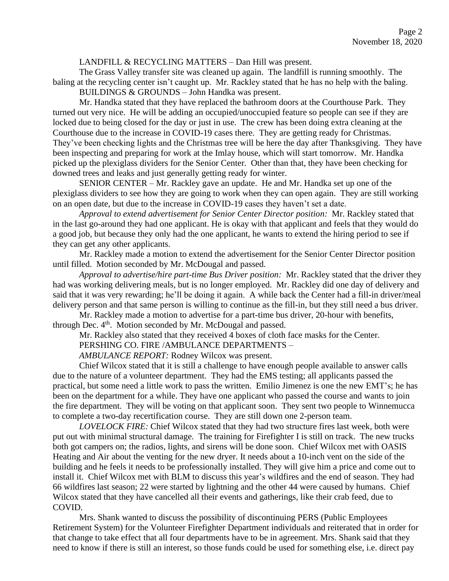#### LANDFILL & RECYCLING MATTERS – Dan Hill was present.

The Grass Valley transfer site was cleaned up again. The landfill is running smoothly. The baling at the recycling center isn't caught up. Mr. Rackley stated that he has no help with the baling. BUILDINGS & GROUNDS – John Handka was present.

Mr. Handka stated that they have replaced the bathroom doors at the Courthouse Park. They turned out very nice. He will be adding an occupied/unoccupied feature so people can see if they are locked due to being closed for the day or just in use. The crew has been doing extra cleaning at the Courthouse due to the increase in COVID-19 cases there. They are getting ready for Christmas. They've been checking lights and the Christmas tree will be here the day after Thanksgiving. They have been inspecting and preparing for work at the Imlay house, which will start tomorrow. Mr. Handka picked up the plexiglass dividers for the Senior Center. Other than that, they have been checking for downed trees and leaks and just generally getting ready for winter.

SENIOR CENTER – Mr. Rackley gave an update. He and Mr. Handka set up one of the plexiglass dividers to see how they are going to work when they can open again. They are still working on an open date, but due to the increase in COVID-19 cases they haven't set a date.

*Approval to extend advertisement for Senior Center Director position:* Mr. Rackley stated that in the last go-around they had one applicant. He is okay with that applicant and feels that they would do a good job, but because they only had the one applicant, he wants to extend the hiring period to see if they can get any other applicants.

Mr. Rackley made a motion to extend the advertisement for the Senior Center Director position until filled. Motion seconded by Mr. McDougal and passed.

*Approval to advertise/hire part-time Bus Driver position:* Mr. Rackley stated that the driver they had was working delivering meals, but is no longer employed. Mr. Rackley did one day of delivery and said that it was very rewarding; he'll be doing it again. A while back the Center had a fill-in driver/meal delivery person and that same person is willing to continue as the fill-in, but they still need a bus driver.

Mr. Rackley made a motion to advertise for a part-time bus driver, 20-hour with benefits,

through Dec.  $4<sup>th</sup>$ . Motion seconded by Mr. McDougal and passed.

Mr. Rackley also stated that they received 4 boxes of cloth face masks for the Center.

PERSHING CO. FIRE /AMBULANCE DEPARTMENTS –

*AMBULANCE REPORT:* Rodney Wilcox was present.

Chief Wilcox stated that it is still a challenge to have enough people available to answer calls due to the nature of a volunteer department. They had the EMS testing; all applicants passed the practical, but some need a little work to pass the written. Emilio Jimenez is one the new EMT's; he has been on the department for a while. They have one applicant who passed the course and wants to join the fire department. They will be voting on that applicant soon. They sent two people to Winnemucca to complete a two-day recertification course. They are still down one 2-person team.

*LOVELOCK FIRE:* Chief Wilcox stated that they had two structure fires last week, both were put out with minimal structural damage. The training for Firefighter I is still on track. The new trucks both got campers on; the radios, lights, and sirens will be done soon. Chief Wilcox met with OASIS Heating and Air about the venting for the new dryer. It needs about a 10-inch vent on the side of the building and he feels it needs to be professionally installed. They will give him a price and come out to install it. Chief Wilcox met with BLM to discuss this year's wildfires and the end of season. They had 66 wildfires last season; 22 were started by lightning and the other 44 were caused by humans. Chief Wilcox stated that they have cancelled all their events and gatherings, like their crab feed, due to COVID.

Mrs. Shank wanted to discuss the possibility of discontinuing PERS (Public Employees Retirement System) for the Volunteer Firefighter Department individuals and reiterated that in order for that change to take effect that all four departments have to be in agreement. Mrs. Shank said that they need to know if there is still an interest, so those funds could be used for something else, i.e. direct pay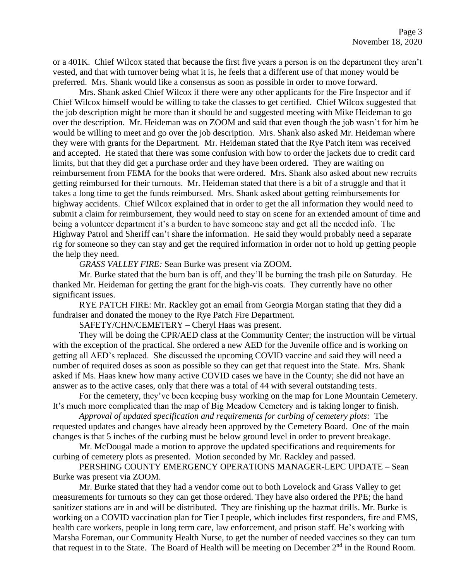or a 401K. Chief Wilcox stated that because the first five years a person is on the department they aren't vested, and that with turnover being what it is, he feels that a different use of that money would be preferred. Mrs. Shank would like a consensus as soon as possible in order to move forward.

Mrs. Shank asked Chief Wilcox if there were any other applicants for the Fire Inspector and if Chief Wilcox himself would be willing to take the classes to get certified. Chief Wilcox suggested that the job description might be more than it should be and suggested meeting with Mike Heideman to go over the description. Mr. Heideman was on ZOOM and said that even though the job wasn't for him he would be willing to meet and go over the job description. Mrs. Shank also asked Mr. Heideman where they were with grants for the Department. Mr. Heideman stated that the Rye Patch item was received and accepted. He stated that there was some confusion with how to order the jackets due to credit card limits, but that they did get a purchase order and they have been ordered. They are waiting on reimbursement from FEMA for the books that were ordered. Mrs. Shank also asked about new recruits getting reimbursed for their turnouts. Mr. Heideman stated that there is a bit of a struggle and that it takes a long time to get the funds reimbursed. Mrs. Shank asked about getting reimbursements for highway accidents. Chief Wilcox explained that in order to get the all information they would need to submit a claim for reimbursement, they would need to stay on scene for an extended amount of time and being a volunteer department it's a burden to have someone stay and get all the needed info. The Highway Patrol and Sheriff can't share the information. He said they would probably need a separate rig for someone so they can stay and get the required information in order not to hold up getting people the help they need.

*GRASS VALLEY FIRE:* Sean Burke was present via ZOOM.

Mr. Burke stated that the burn ban is off, and they'll be burning the trash pile on Saturday. He thanked Mr. Heideman for getting the grant for the high-vis coats. They currently have no other significant issues.

RYE PATCH FIRE: Mr. Rackley got an email from Georgia Morgan stating that they did a fundraiser and donated the money to the Rye Patch Fire Department.

SAFETY/CHN/CEMETERY – Cheryl Haas was present.

They will be doing the CPR/AED class at the Community Center; the instruction will be virtual with the exception of the practical. She ordered a new AED for the Juvenile office and is working on getting all AED's replaced. She discussed the upcoming COVID vaccine and said they will need a number of required doses as soon as possible so they can get that request into the State. Mrs. Shank asked if Ms. Haas knew how many active COVID cases we have in the County; she did not have an answer as to the active cases, only that there was a total of 44 with several outstanding tests.

For the cemetery, they've been keeping busy working on the map for Lone Mountain Cemetery. It's much more complicated than the map of Big Meadow Cemetery and is taking longer to finish.

*Approval of updated specification and requirements for curbing of cemetery plots:* The requested updates and changes have already been approved by the Cemetery Board. One of the main changes is that 5 inches of the curbing must be below ground level in order to prevent breakage.

Mr. McDougal made a motion to approve the updated specifications and requirements for curbing of cemetery plots as presented. Motion seconded by Mr. Rackley and passed.

PERSHING COUNTY EMERGENCY OPERATIONS MANAGER-LEPC UPDATE – Sean Burke was present via ZOOM.

Mr. Burke stated that they had a vendor come out to both Lovelock and Grass Valley to get measurements for turnouts so they can get those ordered. They have also ordered the PPE; the hand sanitizer stations are in and will be distributed. They are finishing up the hazmat drills. Mr. Burke is working on a COVID vaccination plan for Tier I people, which includes first responders, fire and EMS, health care workers, people in long term care, law enforcement, and prison staff. He's working with Marsha Foreman, our Community Health Nurse, to get the number of needed vaccines so they can turn that request in to the State. The Board of Health will be meeting on December  $2<sup>nd</sup>$  in the Round Room.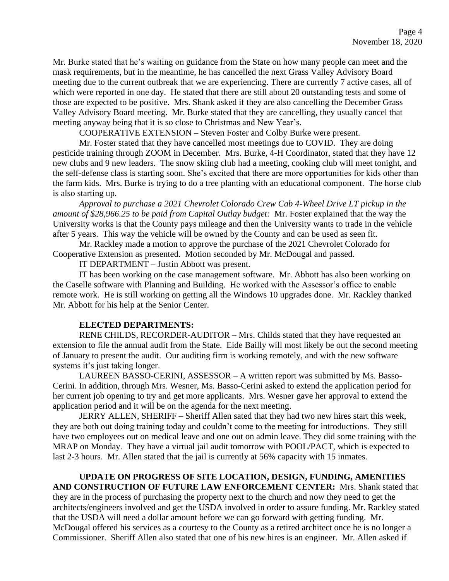Mr. Burke stated that he's waiting on guidance from the State on how many people can meet and the mask requirements, but in the meantime, he has cancelled the next Grass Valley Advisory Board meeting due to the current outbreak that we are experiencing. There are currently 7 active cases, all of which were reported in one day. He stated that there are still about 20 outstanding tests and some of those are expected to be positive. Mrs. Shank asked if they are also cancelling the December Grass Valley Advisory Board meeting. Mr. Burke stated that they are cancelling, they usually cancel that meeting anyway being that it is so close to Christmas and New Year's.

COOPERATIVE EXTENSION – Steven Foster and Colby Burke were present.

Mr. Foster stated that they have cancelled most meetings due to COVID. They are doing pesticide training through ZOOM in December. Mrs. Burke, 4-H Coordinator, stated that they have 12 new clubs and 9 new leaders. The snow skiing club had a meeting, cooking club will meet tonight, and the self-defense class is starting soon. She's excited that there are more opportunities for kids other than the farm kids. Mrs. Burke is trying to do a tree planting with an educational component. The horse club is also starting up.

*Approval to purchase a 2021 Chevrolet Colorado Crew Cab 4-Wheel Drive LT pickup in the amount of \$28,966.25 to be paid from Capital Outlay budget:* Mr. Foster explained that the way the University works is that the County pays mileage and then the University wants to trade in the vehicle after 5 years. This way the vehicle will be owned by the County and can be used as seen fit.

Mr. Rackley made a motion to approve the purchase of the 2021 Chevrolet Colorado for Cooperative Extension as presented. Motion seconded by Mr. McDougal and passed.

IT DEPARTMENT – Justin Abbott was present.

IT has been working on the case management software. Mr. Abbott has also been working on the Caselle software with Planning and Building. He worked with the Assessor's office to enable remote work. He is still working on getting all the Windows 10 upgrades done. Mr. Rackley thanked Mr. Abbott for his help at the Senior Center.

#### **ELECTED DEPARTMENTS:**

RENE CHILDS, RECORDER-AUDITOR – Mrs. Childs stated that they have requested an extension to file the annual audit from the State. Eide Bailly will most likely be out the second meeting of January to present the audit. Our auditing firm is working remotely, and with the new software systems it's just taking longer.

LAUREEN BASSO-CERINI, ASSESSOR – A written report was submitted by Ms. Basso-Cerini. In addition, through Mrs. Wesner, Ms. Basso-Cerini asked to extend the application period for her current job opening to try and get more applicants. Mrs. Wesner gave her approval to extend the application period and it will be on the agenda for the next meeting.

JERRY ALLEN, SHERIFF – Sheriff Allen sated that they had two new hires start this week, they are both out doing training today and couldn't come to the meeting for introductions. They still have two employees out on medical leave and one out on admin leave. They did some training with the MRAP on Monday. They have a virtual jail audit tomorrow with POOL/PACT, which is expected to last 2-3 hours. Mr. Allen stated that the jail is currently at 56% capacity with 15 inmates.

**UPDATE ON PROGRESS OF SITE LOCATION, DESIGN, FUNDING, AMENITIES AND CONSTRUCTION OF FUTURE LAW ENFORCEMENT CENTER:** Mrs. Shank stated that they are in the process of purchasing the property next to the church and now they need to get the architects/engineers involved and get the USDA involved in order to assure funding. Mr. Rackley stated that the USDA will need a dollar amount before we can go forward with getting funding. Mr. McDougal offered his services as a courtesy to the County as a retired architect once he is no longer a Commissioner. Sheriff Allen also stated that one of his new hires is an engineer. Mr. Allen asked if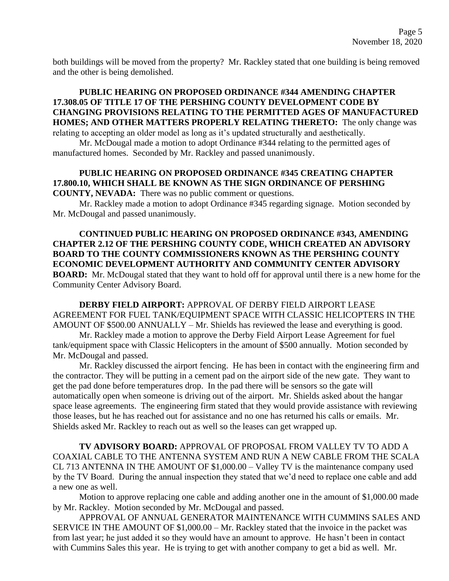both buildings will be moved from the property? Mr. Rackley stated that one building is being removed and the other is being demolished.

## **PUBLIC HEARING ON PROPOSED ORDINANCE #344 AMENDING CHAPTER 17.308.05 OF TITLE 17 OF THE PERSHING COUNTY DEVELOPMENT CODE BY CHANGING PROVISIONS RELATING TO THE PERMITTED AGES OF MANUFACTURED HOMES; AND OTHER MATTERS PROPERLY RELATING THERETO:** The only change was

relating to accepting an older model as long as it's updated structurally and aesthetically.

Mr. McDougal made a motion to adopt Ordinance #344 relating to the permitted ages of manufactured homes. Seconded by Mr. Rackley and passed unanimously.

# **PUBLIC HEARING ON PROPOSED ORDINANCE #345 CREATING CHAPTER 17.800.10, WHICH SHALL BE KNOWN AS THE SIGN ORDINANCE OF PERSHING**

**COUNTY, NEVADA:** There was no public comment or questions.

Mr. Rackley made a motion to adopt Ordinance #345 regarding signage. Motion seconded by Mr. McDougal and passed unanimously.

**CONTINUED PUBLIC HEARING ON PROPOSED ORDINANCE #343, AMENDING CHAPTER 2.12 OF THE PERSHING COUNTY CODE, WHICH CREATED AN ADVISORY BOARD TO THE COUNTY COMMISSIONERS KNOWN AS THE PERSHING COUNTY ECONOMIC DEVELOPMENT AUTHORITY AND COMMUNITY CENTER ADVISORY BOARD:** Mr. McDougal stated that they want to hold off for approval until there is a new home for the Community Center Advisory Board.

**DERBY FIELD AIRPORT:** APPROVAL OF DERBY FIELD AIRPORT LEASE AGREEMENT FOR FUEL TANK/EQUIPMENT SPACE WITH CLASSIC HELICOPTERS IN THE AMOUNT OF \$500.00 ANNUALLY – Mr. Shields has reviewed the lease and everything is good.

Mr. Rackley made a motion to approve the Derby Field Airport Lease Agreement for fuel tank/equipment space with Classic Helicopters in the amount of \$500 annually. Motion seconded by Mr. McDougal and passed.

Mr. Rackley discussed the airport fencing. He has been in contact with the engineering firm and the contractor. They will be putting in a cement pad on the airport side of the new gate. They want to get the pad done before temperatures drop. In the pad there will be sensors so the gate will automatically open when someone is driving out of the airport. Mr. Shields asked about the hangar space lease agreements. The engineering firm stated that they would provide assistance with reviewing those leases, but he has reached out for assistance and no one has returned his calls or emails. Mr. Shields asked Mr. Rackley to reach out as well so the leases can get wrapped up.

**TV ADVISORY BOARD:** APPROVAL OF PROPOSAL FROM VALLEY TV TO ADD A COAXIAL CABLE TO THE ANTENNA SYSTEM AND RUN A NEW CABLE FROM THE SCALA CL 713 ANTENNA IN THE AMOUNT OF \$1,000.00 – Valley TV is the maintenance company used by the TV Board. During the annual inspection they stated that we'd need to replace one cable and add a new one as well.

Motion to approve replacing one cable and adding another one in the amount of \$1,000.00 made by Mr. Rackley. Motion seconded by Mr. McDougal and passed.

APPROVAL OF ANNUAL GENERATOR MAINTENANCE WITH CUMMINS SALES AND SERVICE IN THE AMOUNT OF \$1,000.00 – Mr. Rackley stated that the invoice in the packet was from last year; he just added it so they would have an amount to approve. He hasn't been in contact with Cummins Sales this year. He is trying to get with another company to get a bid as well. Mr.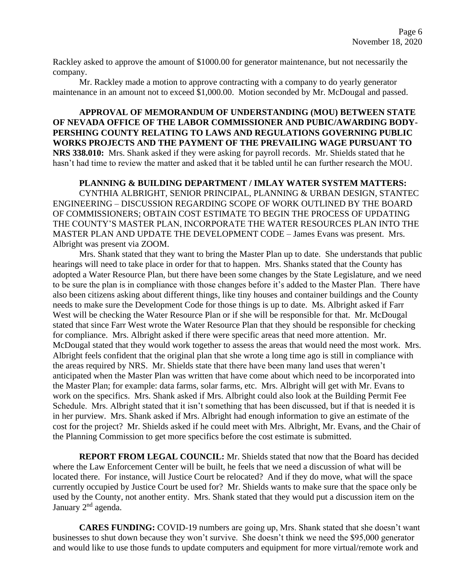Rackley asked to approve the amount of \$1000.00 for generator maintenance, but not necessarily the company.

Mr. Rackley made a motion to approve contracting with a company to do yearly generator maintenance in an amount not to exceed \$1,000.00. Motion seconded by Mr. McDougal and passed.

**APPROVAL OF MEMORANDUM OF UNDERSTANDING (MOU) BETWEEN STATE OF NEVADA OFFICE OF THE LABOR COMMISSIONER AND PUBIC/AWARDING BODY-PERSHING COUNTY RELATING TO LAWS AND REGULATIONS GOVERNING PUBLIC WORKS PROJECTS AND THE PAYMENT OF THE PREVAILING WAGE PURSUANT TO NRS 338.010:** Mrs. Shank asked if they were asking for payroll records. Mr. Shields stated that he hasn't had time to review the matter and asked that it be tabled until he can further research the MOU.

#### **PLANNING & BUILDING DEPARTMENT / IMLAY WATER SYSTEM MATTERS:**

CYNTHIA ALBRIGHT, SENIOR PRINCIPAL, PLANNING & URBAN DESIGN, STANTEC ENGINEERING – DISCUSSION REGARDING SCOPE OF WORK OUTLINED BY THE BOARD OF COMMISSIONERS; OBTAIN COST ESTIMATE TO BEGIN THE PROCESS OF UPDATING THE COUNTY'S MASTER PLAN, INCORPORATE THE WATER RESOURCES PLAN INTO THE MASTER PLAN AND UPDATE THE DEVELOPMENT CODE – James Evans was present. Mrs. Albright was present via ZOOM.

Mrs. Shank stated that they want to bring the Master Plan up to date. She understands that public hearings will need to take place in order for that to happen. Mrs. Shanks stated that the County has adopted a Water Resource Plan, but there have been some changes by the State Legislature, and we need to be sure the plan is in compliance with those changes before it's added to the Master Plan. There have also been citizens asking about different things, like tiny houses and container buildings and the County needs to make sure the Development Code for those things is up to date. Ms. Albright asked if Farr West will be checking the Water Resource Plan or if she will be responsible for that. Mr. McDougal stated that since Farr West wrote the Water Resource Plan that they should be responsible for checking for compliance. Mrs. Albright asked if there were specific areas that need more attention. Mr. McDougal stated that they would work together to assess the areas that would need the most work. Mrs. Albright feels confident that the original plan that she wrote a long time ago is still in compliance with the areas required by NRS. Mr. Shields state that there have been many land uses that weren't anticipated when the Master Plan was written that have come about which need to be incorporated into the Master Plan; for example: data farms, solar farms, etc. Mrs. Albright will get with Mr. Evans to work on the specifics. Mrs. Shank asked if Mrs. Albright could also look at the Building Permit Fee Schedule. Mrs. Albright stated that it isn't something that has been discussed, but if that is needed it is in her purview. Mrs. Shank asked if Mrs. Albright had enough information to give an estimate of the cost for the project? Mr. Shields asked if he could meet with Mrs. Albright, Mr. Evans, and the Chair of the Planning Commission to get more specifics before the cost estimate is submitted.

**REPORT FROM LEGAL COUNCIL:** Mr. Shields stated that now that the Board has decided where the Law Enforcement Center will be built, he feels that we need a discussion of what will be located there. For instance, will Justice Court be relocated? And if they do move, what will the space currently occupied by Justice Court be used for? Mr. Shields wants to make sure that the space only be used by the County, not another entity. Mrs. Shank stated that they would put a discussion item on the January 2<sup>nd</sup> agenda.

**CARES FUNDING:** COVID-19 numbers are going up, Mrs. Shank stated that she doesn't want businesses to shut down because they won't survive. She doesn't think we need the \$95,000 generator and would like to use those funds to update computers and equipment for more virtual/remote work and